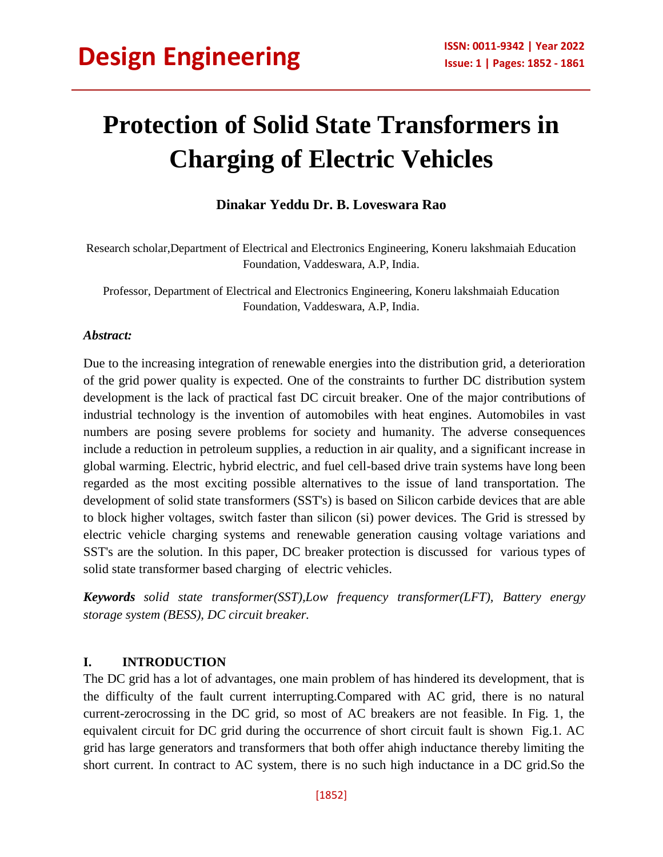## **Protection of Solid State Transformers in Charging of Electric Vehicles**

#### **Dinakar Yeddu Dr. B. Loveswara Rao**

Research scholar,Department of Electrical and Electronics Engineering, Koneru lakshmaiah Education Foundation, Vaddeswara, A.P, India.

Professor, Department of Electrical and Electronics Engineering, Koneru lakshmaiah Education Foundation, Vaddeswara, A.P, India.

#### *Abstract:*

Due to the increasing integration of renewable energies into the distribution grid, a deterioration of the grid power quality is expected. One of the constraints to further DC distribution system development is the lack of practical fast DC circuit breaker. One of the major contributions of industrial technology is the invention of automobiles with heat engines. Automobiles in vast numbers are posing severe problems for society and humanity. The adverse consequences include a reduction in petroleum supplies, a reduction in air quality, and a significant increase in global warming. Electric, hybrid electric, and fuel cell-based drive train systems have long been regarded as the most exciting possible alternatives to the issue of land transportation. The development of solid state transformers (SST's) is based on Silicon carbide devices that are able to block higher voltages, switch faster than silicon (si) power devices. The Grid is stressed by electric vehicle charging systems and renewable generation causing voltage variations and SST's are the solution. In this paper, DC breaker protection is discussed for various types of solid state transformer based charging of electric vehicles.

*Keywords solid state transformer(SST),Low frequency transformer(LFT), Battery energy storage system (BESS), DC circuit breaker.*

#### **I. INTRODUCTION**

The DC grid has a lot of advantages, one main problem of has hindered its development, that is the difficulty of the fault current interrupting.Compared with AC grid, there is no natural current-zerocrossing in the DC grid, so most of AC breakers are not feasible. In Fig. 1, the equivalent circuit for DC grid during the occurrence of short circuit fault is shown Fig.1. AC grid has large generators and transformers that both offer ahigh inductance thereby limiting the short current. In contract to AC system, there is no such high inductance in a DC grid.So the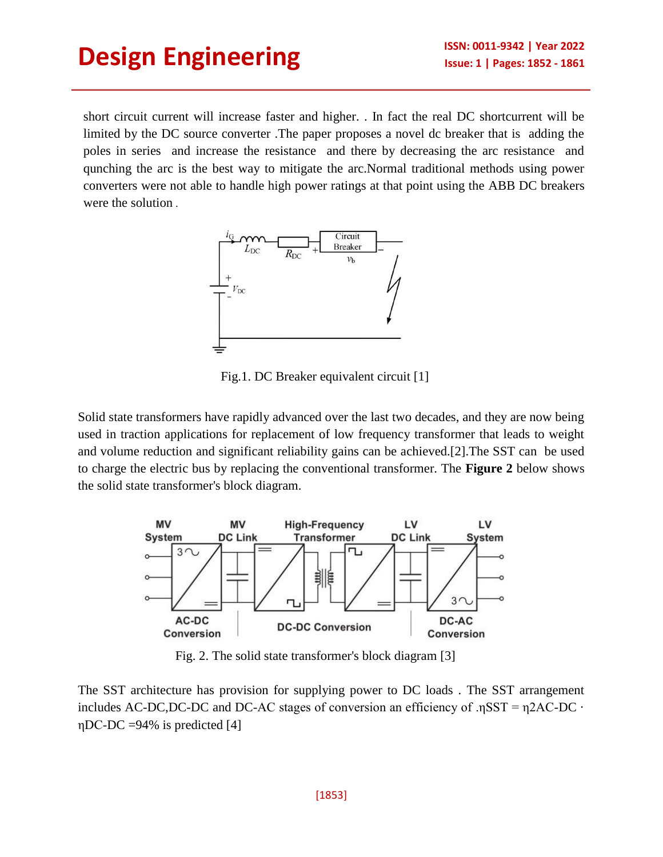short circuit current will increase faster and higher. . In fact the real DC shortcurrent will be limited by the DC source converter .The paper proposes a novel dc breaker that is adding the poles in series and increase the resistance and there by decreasing the arc resistance and qunching the arc is the best way to mitigate the arc.Normal traditional methods using power converters were not able to handle high power ratings at that point using the ABB DC breakers were the solution .



Fig.1. DC Breaker equivalent circuit [1]

Solid state transformers have rapidly advanced over the last two decades, and they are now being used in traction applications for replacement of low frequency transformer that leads to weight and volume reduction and significant reliability gains can be achieved.[2].The SST can be used to charge the electric bus by replacing the conventional transformer. The **Figure 2** below shows the solid state transformer's block diagram.



Fig. 2. The solid state transformer's block diagram [3]

The SST architecture has provision for supplying power to DC loads . The SST arrangement includes AC-DC,DC-DC and DC-AC stages of conversion an efficiency of . $nSST = n2AC-DC$  · ηDC-DC =94% is predicted [4]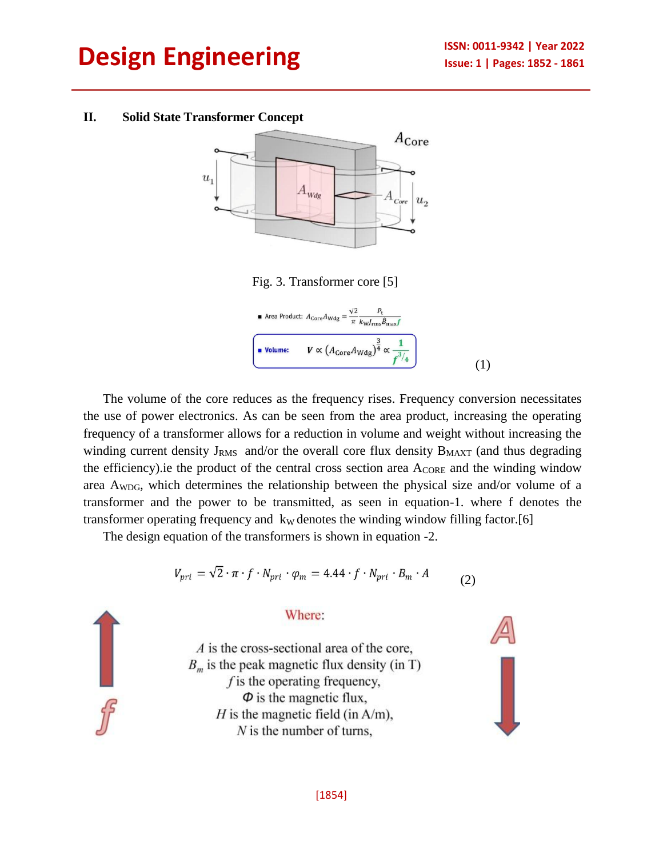#### **II. Solid State Transformer Concept**



The volume of the core reduces as the frequency rises. Frequency conversion necessitates the use of power electronics. As can be seen from the area product, increasing the operating frequency of a transformer allows for a reduction in volume and weight without increasing the winding current density  $J_{RMS}$  and/or the overall core flux density  $B_{MAXT}$  (and thus degrading the efficiency).ie the product of the central cross section area  $A_{\text{CORE}}$  and the winding window area  $A_{WDG}$ , which determines the relationship between the physical size and/or volume of a transformer and the power to be transmitted, as seen in equation-1. where f denotes the transformer operating frequency and  $k<sub>W</sub>$  denotes the winding window filling factor.[6]

The design equation of the transformers is shown in equation -2.

$$
V_{pri} = \sqrt{2} \cdot \pi \cdot f \cdot N_{pri} \cdot \varphi_m = 4.44 \cdot f \cdot N_{pri} \cdot B_m \cdot A \tag{2}
$$

#### Where:

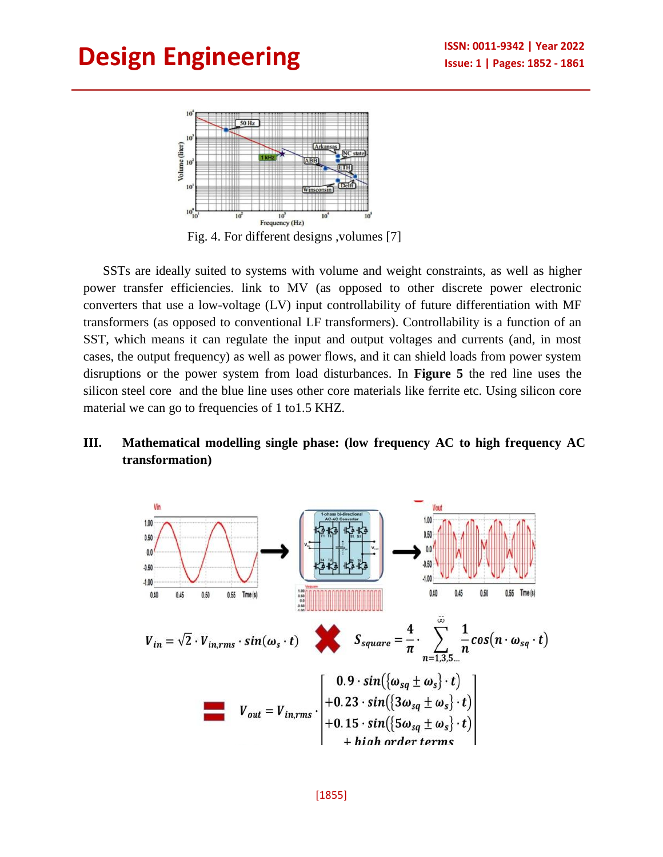

Fig. 4. For different designs ,volumes [7]

SSTs are ideally suited to systems with volume and weight constraints, as well as higher power transfer efficiencies. link to MV (as opposed to other discrete power electronic converters that use a low-voltage (LV) input controllability of future differentiation with MF transformers (as opposed to conventional LF transformers). Controllability is a function of an SST, which means it can regulate the input and output voltages and currents (and, in most cases, the output frequency) as well as power flows, and it can shield loads from power system disruptions or the power system from load disturbances. In **Figure 5** the red line uses the silicon steel core and the blue line uses other core materials like ferrite etc. Using silicon core material we can go to frequencies of 1 to 1.5 KHZ.

### **III. Mathematical modelling single phase: (low frequency AC to high frequency AC transformation)**

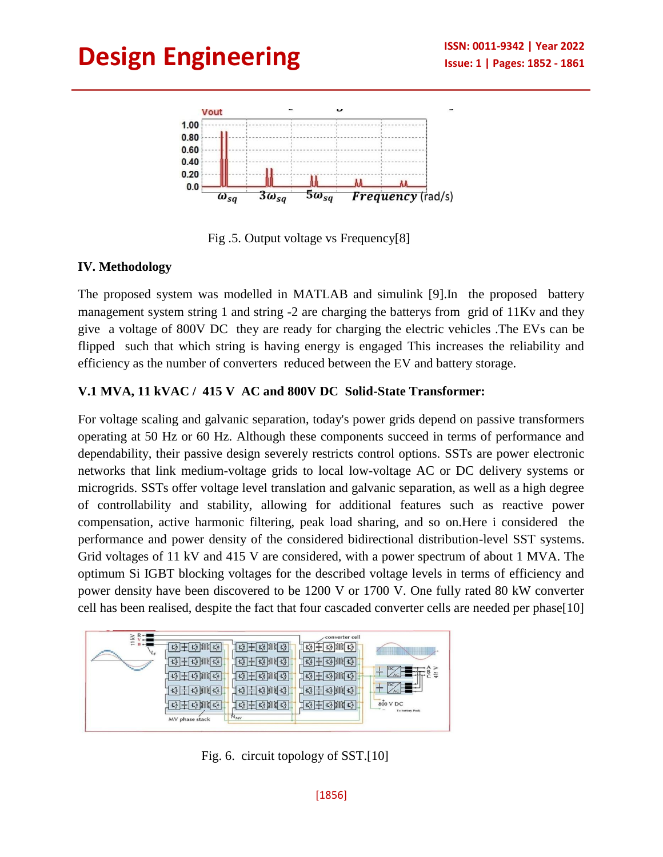

Fig .5. Output voltage vs Frequency[8]

## **IV. Methodology**

The proposed system was modelled in MATLAB and simulink [9].In the proposed battery management system string 1 and string -2 are charging the batterys from grid of 11Kv and they give a voltage of 800V DC they are ready for charging the electric vehicles .The EVs can be flipped such that which string is having energy is engaged This increases the reliability and efficiency as the number of converters reduced between the EV and battery storage.

## **V.1 MVA, 11 kVAC / 415 V AC and 800V DC Solid-State Transformer:**

For voltage scaling and galvanic separation, today's power grids depend on passive transformers operating at 50 Hz or 60 Hz. Although these components succeed in terms of performance and dependability, their passive design severely restricts control options. SSTs are power electronic networks that link medium-voltage grids to local low-voltage AC or DC delivery systems or microgrids. SSTs offer voltage level translation and galvanic separation, as well as a high degree of controllability and stability, allowing for additional features such as reactive power compensation, active harmonic filtering, peak load sharing, and so on.Here i considered the performance and power density of the considered bidirectional distribution-level SST systems. Grid voltages of 11 kV and 415 V are considered, with a power spectrum of about 1 MVA. The optimum Si IGBT blocking voltages for the described voltage levels in terms of efficiency and power density have been discovered to be 1200 V or 1700 V. One fully rated 80 kW converter cell has been realised, despite the fact that four cascaded converter cells are needed per phase[10]



Fig. 6. circuit topology of SST.[10]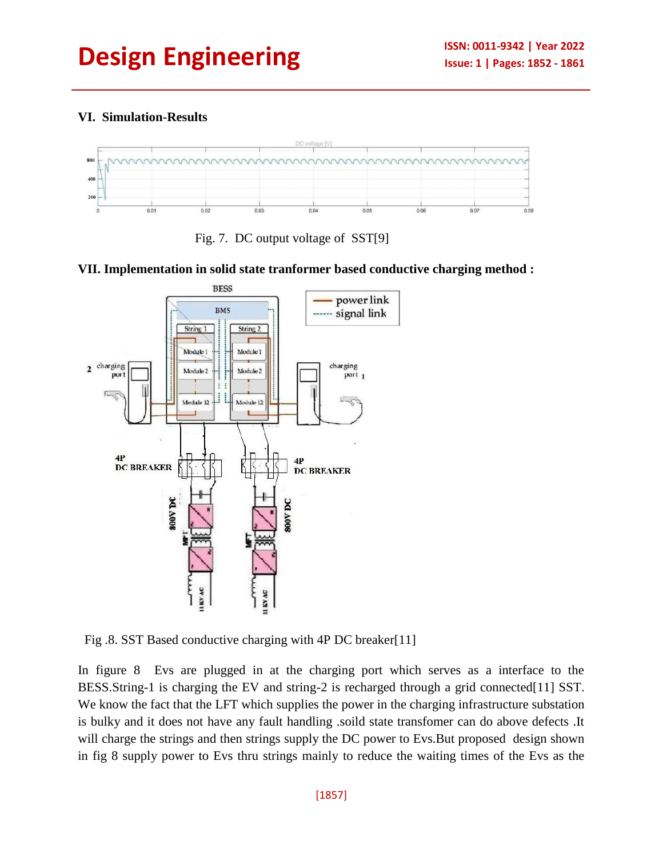## **VI. Simulation-Results**



Fig. 7. DC output voltage of SST[9]

#### **VII. Implementation in solid state tranformer based conductive charging method :**



Fig .8. SST Based conductive charging with 4P DC breaker[11]

In figure 8 Evs are plugged in at the charging port which serves as a interface to the BESS.String-1 is charging the EV and string-2 is recharged through a grid connected[11] SST. We know the fact that the LFT which supplies the power in the charging infrastructure substation is bulky and it does not have any fault handling .soild state transfomer can do above defects .It will charge the strings and then strings supply the DC power to Evs. But proposed design shown in fig 8 supply power to Evs thru strings mainly to reduce the waiting times of the Evs as the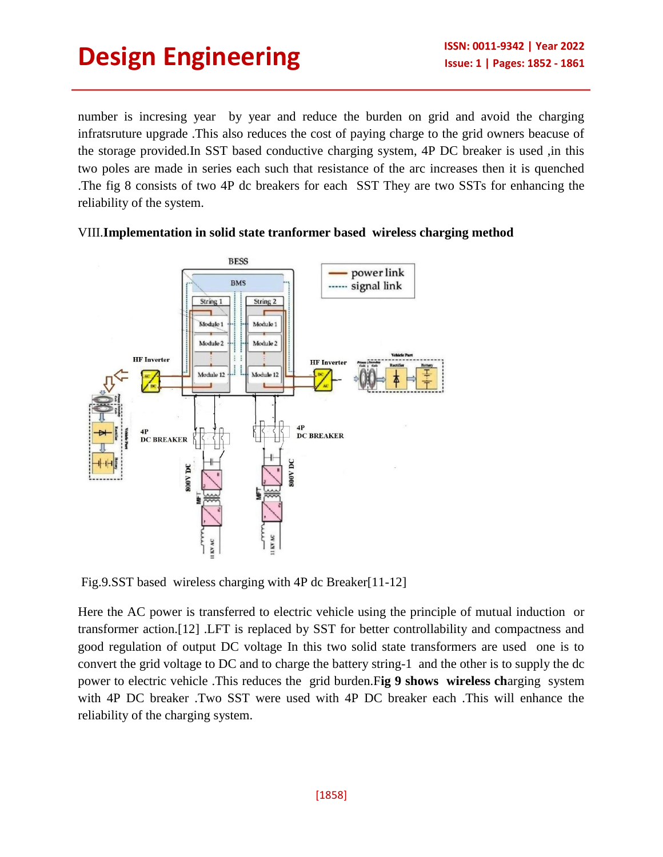number is incresing year by year and reduce the burden on grid and avoid the charging infratsruture upgrade .This also reduces the cost of paying charge to the grid owners beacuse of the storage provided.In SST based conductive charging system, 4P DC breaker is used ,in this two poles are made in series each such that resistance of the arc increases then it is quenched .The fig 8 consists of two 4P dc breakers for each SST They are two SSTs for enhancing the reliability of the system.



#### VIII.**Implementation in solid state tranformer based wireless charging method**

Fig.9.SST based wireless charging with 4P dc Breaker[11-12]

Here the AC power is transferred to electric vehicle using the principle of mutual induction or transformer action.[12] .LFT is replaced by SST for better controllability and compactness and good regulation of output DC voltage In this two solid state transformers are used one is to convert the grid voltage to DC and to charge the battery string-1 and the other is to supply the dc power to electric vehicle .This reduces the grid burden.F**ig 9 shows wireless ch**arging system with 4P DC breaker .Two SST were used with 4P DC breaker each .This will enhance the reliability of the charging system.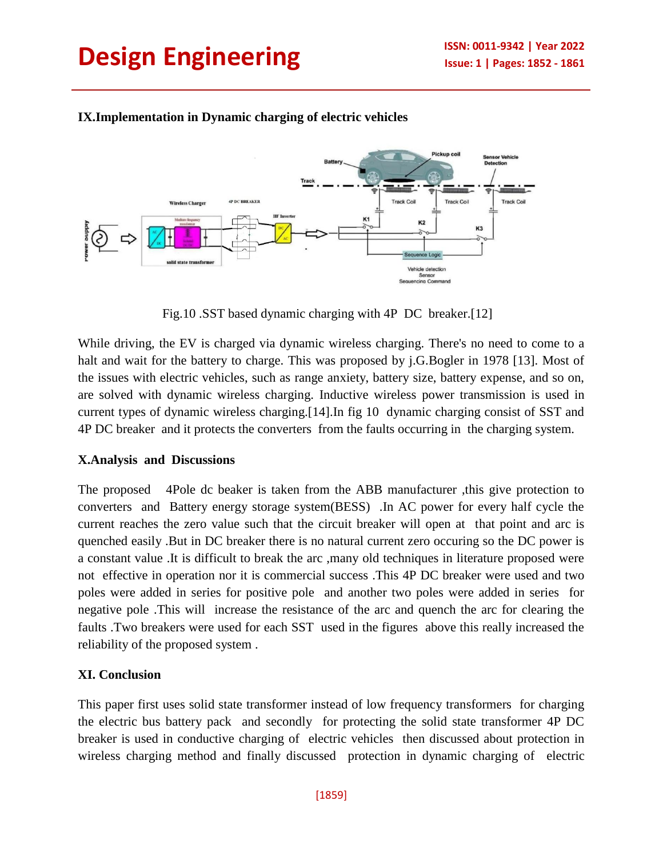

### **IX.Implementation in Dynamic charging of electric vehicles**

Fig.10 .SST based dynamic charging with 4P DC breaker.[12]

While driving, the EV is charged via dynamic wireless charging. There's no need to come to a halt and wait for the battery to charge. This was proposed by j.G.Bogler in 1978 [13]. Most of the issues with electric vehicles, such as range anxiety, battery size, battery expense, and so on, are solved with dynamic wireless charging. Inductive wireless power transmission is used in current types of dynamic wireless charging.[14].In fig 10 dynamic charging consist of SST and 4P DC breaker and it protects the converters from the faults occurring in the charging system.

### **X.Analysis and Discussions**

The proposed 4Pole dc beaker is taken from the ABB manufacturer ,this give protection to converters and Battery energy storage system(BESS) .In AC power for every half cycle the current reaches the zero value such that the circuit breaker will open at that point and arc is quenched easily .But in DC breaker there is no natural current zero occuring so the DC power is a constant value .It is difficult to break the arc ,many old techniques in literature proposed were not effective in operation nor it is commercial success .This 4P DC breaker were used and two poles were added in series for positive pole and another two poles were added in series for negative pole .This will increase the resistance of the arc and quench the arc for clearing the faults .Two breakers were used for each SST used in the figures above this really increased the reliability of the proposed system .

### **XI. Conclusion**

This paper first uses solid state transformer instead of low frequency transformers for charging the electric bus battery pack and secondly for protecting the solid state transformer 4P DC breaker is used in conductive charging of electric vehicles then discussed about protection in wireless charging method and finally discussed protection in dynamic charging of electric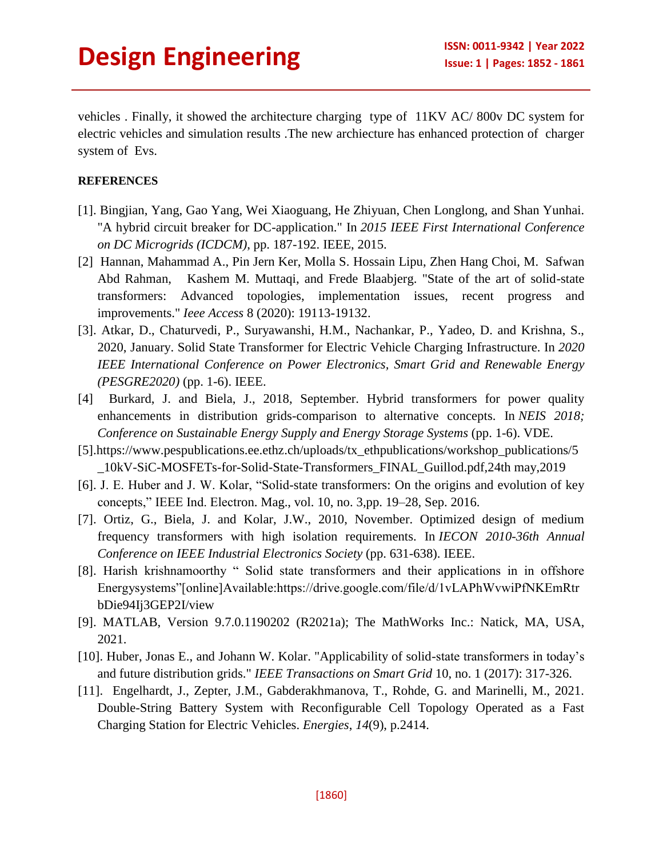vehicles . Finally, it showed the architecture charging type of 11KV AC/ 800v DC system for electric vehicles and simulation results .The new archiecture has enhanced protection of charger system of Evs.

#### **REFERENCES**

- [1]. Bingjian, Yang, Gao Yang, Wei Xiaoguang, He Zhiyuan, Chen Longlong, and Shan Yunhai. "A hybrid circuit breaker for DC-application." In *2015 IEEE First International Conference on DC Microgrids (ICDCM)*, pp. 187-192. IEEE, 2015.
- [2] Hannan, Mahammad A., Pin Jern Ker, Molla S. Hossain Lipu, Zhen Hang Choi, M. Safwan Abd Rahman, Kashem M. Muttaqi, and Frede Blaabjerg. "State of the art of solid-state transformers: Advanced topologies, implementation issues, recent progress and improvements." *Ieee Access* 8 (2020): 19113-19132.
- [3]. Atkar, D., Chaturvedi, P., Suryawanshi, H.M., Nachankar, P., Yadeo, D. and Krishna, S., 2020, January. Solid State Transformer for Electric Vehicle Charging Infrastructure. In *2020 IEEE International Conference on Power Electronics, Smart Grid and Renewable Energy (PESGRE2020)* (pp. 1-6). IEEE.
- [4] Burkard, J. and Biela, J., 2018, September. Hybrid transformers for power quality enhancements in distribution grids-comparison to alternative concepts. In *NEIS 2018; Conference on Sustainable Energy Supply and Energy Storage Systems* (pp. 1-6). VDE.
- [5][.https://www.pespublications.ee.ethz.ch/uploads/tx\\_ethpublications/workshop\\_publications/5](https://www.pespublications.ee.ethz.ch/uploads/tx_ethpublications/workshop_publications/5_10kV-SiC-MOSFETs-for-Solid-State-Transformers_FINAL_Guillod.pdf,24th) [\\_10kV-SiC-MOSFETs-for-Solid-State-Transformers\\_FINAL\\_Guillod.pdf,24th](https://www.pespublications.ee.ethz.ch/uploads/tx_ethpublications/workshop_publications/5_10kV-SiC-MOSFETs-for-Solid-State-Transformers_FINAL_Guillod.pdf,24th) may,2019
- [6]. J. E. Huber and J. W. Kolar, "Solid-state transformers: On the origins and evolution of key concepts," IEEE Ind. Electron. Mag., vol. 10, no. 3,pp. 19–28, Sep. 2016.
- [7]. Ortiz, G., Biela, J. and Kolar, J.W., 2010, November. Optimized design of medium frequency transformers with high isolation requirements. In *IECON 2010-36th Annual Conference on IEEE Industrial Electronics Society* (pp. 631-638). IEEE.
- [8]. Harish krishnamoorthy " Solid state transformers and their applications in in offshore Energysystems"[online]Available:https://drive.google.com/file/d/1vLAPhWvwiPfNKEmRtr bDie94Ij3GEP2I/view
- [9]. MATLAB, Version 9.7.0.1190202 (R2021a); The MathWorks Inc.: Natick, MA, USA, 2021.
- [10]. Huber, Jonas E., and Johann W. Kolar. "Applicability of solid-state transformers in today's and future distribution grids." *IEEE Transactions on Smart Grid* 10, no. 1 (2017): 317-326.
- [11]. Engelhardt, J., Zepter, J.M., Gabderakhmanova, T., Rohde, G. and Marinelli, M., 2021. Double-String Battery System with Reconfigurable Cell Topology Operated as a Fast Charging Station for Electric Vehicles. *Energies*, *14*(9), p.2414.